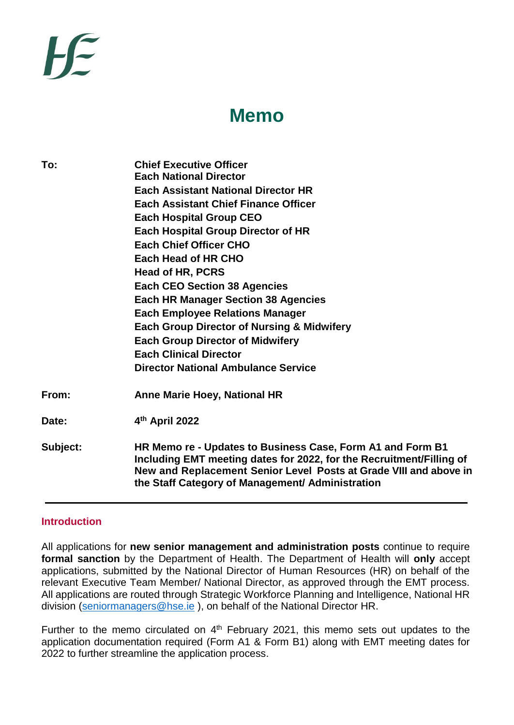# **Memo**

| <b>Chief Executive Officer</b><br><b>Each National Director</b>                                                                                                                                                                                             |
|-------------------------------------------------------------------------------------------------------------------------------------------------------------------------------------------------------------------------------------------------------------|
| <b>Each Assistant National Director HR</b>                                                                                                                                                                                                                  |
| <b>Each Assistant Chief Finance Officer</b>                                                                                                                                                                                                                 |
| <b>Each Hospital Group CEO</b>                                                                                                                                                                                                                              |
| <b>Each Hospital Group Director of HR</b>                                                                                                                                                                                                                   |
| <b>Each Chief Officer CHO</b>                                                                                                                                                                                                                               |
| Each Head of HR CHO                                                                                                                                                                                                                                         |
| Head of HR, PCRS                                                                                                                                                                                                                                            |
| <b>Each CEO Section 38 Agencies</b>                                                                                                                                                                                                                         |
| <b>Each HR Manager Section 38 Agencies</b>                                                                                                                                                                                                                  |
| <b>Each Employee Relations Manager</b>                                                                                                                                                                                                                      |
| <b>Each Group Director of Nursing &amp; Midwifery</b>                                                                                                                                                                                                       |
| <b>Each Group Director of Midwifery</b>                                                                                                                                                                                                                     |
| <b>Each Clinical Director</b>                                                                                                                                                                                                                               |
| <b>Director National Ambulance Service</b>                                                                                                                                                                                                                  |
| <b>Anne Marie Hoey, National HR</b>                                                                                                                                                                                                                         |
| 4th April 2022                                                                                                                                                                                                                                              |
| HR Memo re - Updates to Business Case, Form A1 and Form B1<br>Including EMT meeting dates for 2022, for the Recruitment/Filling of<br>New and Replacement Senior Level Posts at Grade VIII and above in<br>the Staff Category of Management/ Administration |
|                                                                                                                                                                                                                                                             |

#### **Introduction**

All applications for **new senior management and administration posts** continue to require **formal sanction** by the Department of Health. The Department of Health will **only** accept applications, submitted by the National Director of Human Resources (HR) on behalf of the relevant Executive Team Member/ National Director, as approved through the EMT process. All applications are routed through Strategic Workforce Planning and Intelligence, National HR division [\(seniormanagers@hse.ie](mailto:seniormanagers@hse.ie)), on behalf of the National Director HR.

Further to the memo circulated on  $4<sup>th</sup>$  February 2021, this memo sets out updates to the application documentation required (Form A1 & Form B1) along with EMT meeting dates for 2022 to further streamline the application process.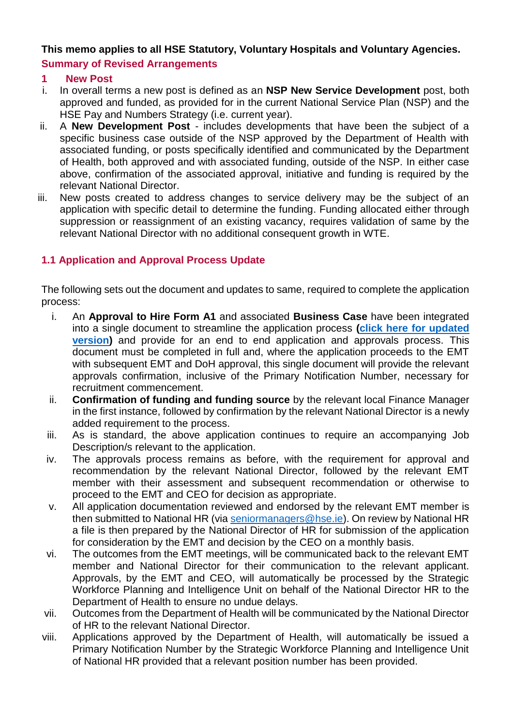### **This memo applies to all HSE Statutory, Voluntary Hospitals and Voluntary Agencies. Summary of Revised Arrangements**

### **1 New Post**

- i. In overall terms a new post is defined as an **NSP New Service Development** post, both approved and funded, as provided for in the current National Service Plan (NSP) and the HSE Pay and Numbers Strategy (i.e. current year).
- ii. A **New Development Post** includes developments that have been the subject of a specific business case outside of the NSP approved by the Department of Health with associated funding, or posts specifically identified and communicated by the Department of Health, both approved and with associated funding, outside of the NSP. In either case above, confirmation of the associated approval, initiative and funding is required by the relevant National Director.
- iii. New posts created to address changes to service delivery may be the subject of an application with specific detail to determine the funding. Funding allocated either through suppression or reassignment of an existing vacancy, requires validation of same by the relevant National Director with no additional consequent growth in WTE.

## **1.1 Application and Approval Process Update**

The following sets out the document and updates to same, required to complete the application process:

- i. An **Approval to Hire Form A1** and associated **Business Case** have been integrated into a single document to streamline the application process **[\(click here for updated](https://www.hse.ie/eng/staff/resources/our-workforce/senior-management-administrative-posts-2021.html)  [version\)](https://www.hse.ie/eng/staff/resources/our-workforce/senior-management-administrative-posts-2021.html)** and provide for an end to end application and approvals process. This document must be completed in full and, where the application proceeds to the EMT with subsequent EMT and DoH approval, this single document will provide the relevant approvals confirmation, inclusive of the Primary Notification Number, necessary for recruitment commencement.
- ii. **Confirmation of funding and funding source** by the relevant local Finance Manager in the first instance, followed by confirmation by the relevant National Director is a newly added requirement to the process.
- iii. As is standard, the above application continues to require an accompanying Job Description/s relevant to the application.
- iv. The approvals process remains as before, with the requirement for approval and recommendation by the relevant National Director, followed by the relevant EMT member with their assessment and subsequent recommendation or otherwise to proceed to the EMT and CEO for decision as appropriate.
- v. All application documentation reviewed and endorsed by the relevant EMT member is then submitted to National HR (via [seniormanagers@hse.ie\)](mailto:seniormanagers@hse.ie). On review by National HR a file is then prepared by the National Director of HR for submission of the application for consideration by the EMT and decision by the CEO on a monthly basis.
- vi. The outcomes from the EMT meetings, will be communicated back to the relevant EMT member and National Director for their communication to the relevant applicant. Approvals, by the EMT and CEO, will automatically be processed by the Strategic Workforce Planning and Intelligence Unit on behalf of the National Director HR to the Department of Health to ensure no undue delays.
- vii. Outcomes from the Department of Health will be communicated by the National Director of HR to the relevant National Director.
- viii. Applications approved by the Department of Health, will automatically be issued a Primary Notification Number by the Strategic Workforce Planning and Intelligence Unit of National HR provided that a relevant position number has been provided.